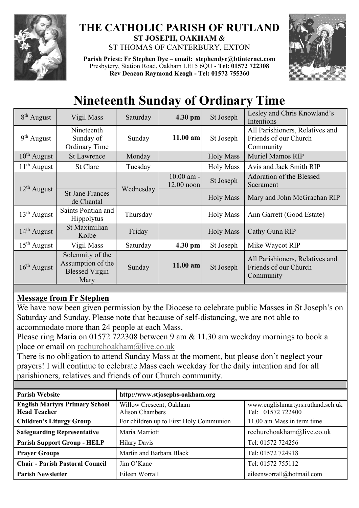

## **THE CATHOLIC PARISH OF RUTLAND ST JOSEPH, OAKHAM &**  ST THOMAS OF CANTERBURY, EXTON

**Parish Priest: Fr Stephen Dye** – **[email: stephendye@btinternet.com](mailto:email:%20%20stephendye@btinternet.com)** Presbytery, Station Road, Oakham LE15 6QU - **Tel: 01572 722308 Rev Deacon Raymond Keogh - Tel: 01572 755360**



## **Nineteenth Sunday of Ordinary Time**

| $8th$ August            | Vigil Mass                                                             | Saturday  | 4.30 pm                      | St Joseph        | Lesley and Chris Knowland's<br>Intentions                             |  |
|-------------------------|------------------------------------------------------------------------|-----------|------------------------------|------------------|-----------------------------------------------------------------------|--|
| $9th$ August            | Nineteenth<br>Sunday of<br><b>Ordinary Time</b>                        | Sunday    | $11.00$ am<br>St Joseph      |                  | All Parishioners, Relatives and<br>Friends of our Church<br>Community |  |
| $10^{th}$ August        | <b>St Lawrence</b>                                                     | Monday    |                              | <b>Holy Mass</b> | <b>Muriel Mamos RIP</b>                                               |  |
| $11th$ August           | St Clare                                                               | Tuesday   |                              | <b>Holy Mass</b> | Avis and Jack Smith RIP                                               |  |
| $12th$ August           |                                                                        |           | $10.00$ am -<br>$12.00$ noon | St Joseph        | Adoration of the Blessed<br>Sacrament                                 |  |
|                         | <b>St Jane Frances</b><br>de Chantal                                   | Wednesday |                              | <b>Holy Mass</b> | Mary and John McGrachan RIP                                           |  |
| $13th$ August           | Saints Pontian and<br><b>Hippolytus</b>                                | Thursday  |                              | <b>Holy Mass</b> | Ann Garrett (Good Estate)                                             |  |
| 14 <sup>th</sup> August | St Maximilian<br>Kolbe                                                 | Friday    |                              | <b>Holy Mass</b> | Cathy Gunn RIP                                                        |  |
| $15th$ August           | Vigil Mass                                                             | Saturday  | $4.30$ pm                    | St Joseph        | Mike Waycot RIP                                                       |  |
| $16th$ August           | Solemnity of the<br>Assumption of the<br><b>Blessed Virgin</b><br>Mary | Sunday    | $11.00$ am                   | St Joseph        | All Parishioners, Relatives and<br>Friends of our Church<br>Community |  |

## **Message from Fr Stephen**

We have now been given permission by the Diocese to celebrate public Masses in St Joseph's on Saturday and Sunday. Please note that because of self-distancing, we are not able to accommodate more than 24 people at each Mass.

Please ring Maria on 01572 722308 between 9 am & 11.30 am weekday mornings to book a place or email on [rcchurchoakham@live.co.uk](mailto:rcchurchoakham@live.co.uk)

There is no obligation to attend Sunday Mass at the moment, but please don't neglect your prayers! I will continue to celebrate Mass each weekday for the daily intention and for all parishioners, relatives and friends of our Church community.

| <b>Parish Website</b>                  | http://www.stjosephs-oakham.org         |                                   |  |  |
|----------------------------------------|-----------------------------------------|-----------------------------------|--|--|
| <b>English Martyrs Primary School</b>  | Willow Crescent, Oakham                 | www.englishmartyrs.rutland.sch.uk |  |  |
| <b>Head Teacher</b>                    | <b>Alison Chambers</b>                  | Tel: 01572 722400                 |  |  |
| <b>Children's Liturgy Group</b>        | For children up to First Holy Communion | 11.00 am Mass in term time        |  |  |
| <b>Safeguarding Representative</b>     | Maria Marriott                          | rcchurchoakham@live.co.uk         |  |  |
| <b>Parish Support Group - HELP</b>     | <b>Hilary Davis</b>                     | Tel: 01572 724256                 |  |  |
| <b>Prayer Groups</b>                   | Martin and Barbara Black                | Tel: 01572 724918                 |  |  |
| <b>Chair - Parish Pastoral Council</b> | Jim O'Kane                              | Tel: 01572 755112                 |  |  |
| <b>Parish Newsletter</b>               | Eileen Worrall                          | eileenworrall@hotmail.com         |  |  |